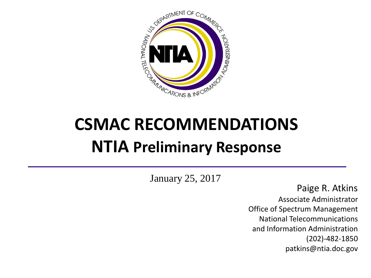

# **CSMAC RECOMMENDATIONS NTIA Preliminary Response**

January 25, 2017

Paige R. Atkins Associate Administrator Office of Spectrum Management National Telecommunications and Information Administration (202)-482-1850 patkins@ntia.doc.gov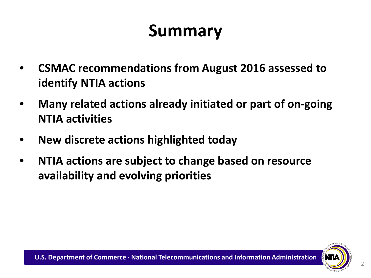## **Summary**

- **CSMAC recommendations from August 2016 assessed to identify NTIA actions**
- **Many related actions already initiated or part of on-going NTIA activities**
- **New discrete actions highlighted today**
- **NTIA actions are subject to change based on resource availability and evolving priorities**

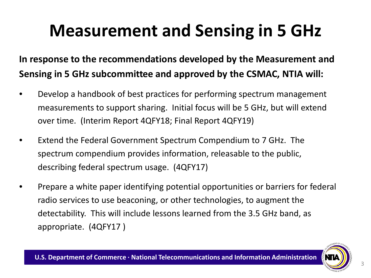## **Measurement and Sensing in 5 GHz**

### **In response to the recommendations developed by the Measurement and Sensing in 5 GHz subcommittee and approved by the CSMAC, NTIA will:**

- Develop a handbook of best practices for performing spectrum management measurements to support sharing. Initial focus will be 5 GHz, but will extend over time. (Interim Report 4QFY18; Final Report 4QFY19)
- Extend the Federal Government Spectrum Compendium to 7 GHz. The spectrum compendium provides information, releasable to the public, describing federal spectrum usage. (4QFY17)
- Prepare a white paper identifying potential opportunities or barriers for federal radio services to use beaconing, or other technologies, to augment the detectability. This will include lessons learned from the 3.5 GHz band, as appropriate. (4QFY17 )

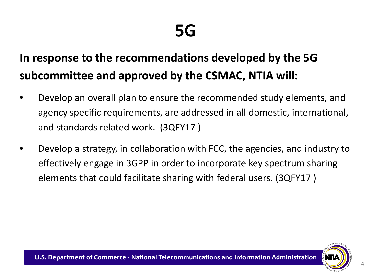### **In response to the recommendations developed by the 5G subcommittee and approved by the CSMAC, NTIA will:**

- Develop an overall plan to ensure the recommended study elements, and agency specific requirements, are addressed in all domestic, international, and standards related work. (3QFY17 )
- Develop a strategy, in collaboration with FCC, the agencies, and industry to effectively engage in 3GPP in order to incorporate key spectrum sharing elements that could facilitate sharing with federal users. (3QFY17 )

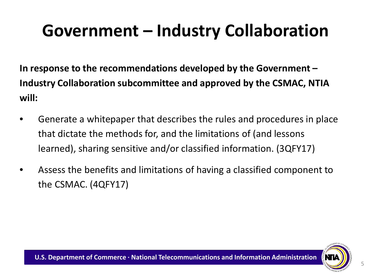## **Government – Industry Collaboration**

**In response to the recommendations developed by the Government – Industry Collaboration subcommittee and approved by the CSMAC, NTIA will:**

- Generate a whitepaper that describes the rules and procedures in place that dictate the methods for, and the limitations of (and lessons learned), sharing sensitive and/or classified information. (3QFY17)
- Assess the benefits and limitations of having a classified component to the CSMAC. (4QFY17)

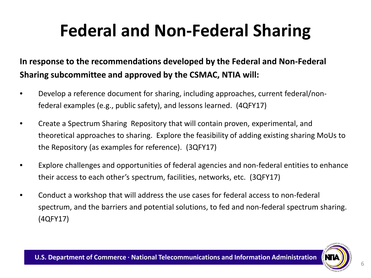## **Federal and Non-Federal Sharing**

#### **In response to the recommendations developed by the Federal and Non-Federal Sharing subcommittee and approved by the CSMAC, NTIA will:**

- Develop a reference document for sharing, including approaches, current federal/nonfederal examples (e.g., public safety), and lessons learned. (4QFY17)
- Create a Spectrum Sharing Repository that will contain proven, experimental, and theoretical approaches to sharing. Explore the feasibility of adding existing sharing MoUs to the Repository (as examples for reference). (3QFY17)
- Explore challenges and opportunities of federal agencies and non-federal entities to enhance their access to each other's spectrum, facilities, networks, etc. (3QFY17)
- Conduct a workshop that will address the use cases for federal access to non-federal spectrum, and the barriers and potential solutions, to fed and non-federal spectrum sharing. (4QFY17)